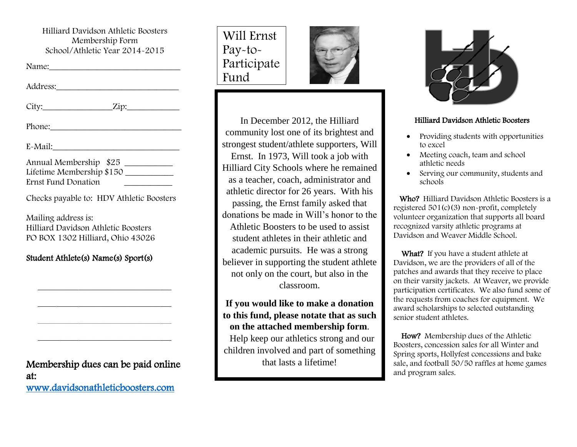Hilliard Davidson Athletic Boosters Membership Form School/Athletic Year 2014-2015

Name:\_\_\_\_\_\_\_\_\_\_\_\_\_\_\_\_\_\_\_\_\_\_\_\_\_\_\_\_\_\_

| Address: |  |  |  |  |
|----------|--|--|--|--|
|          |  |  |  |  |

City: Zip:

Phone:

 $E-Mail:$ 

| Annual Membership \$25    |  |
|---------------------------|--|
| Lifetime Membership \$150 |  |
| Ernst Fund Donation       |  |

Checks payable to: HDV Athletic Boosters

Mailing address is: Hilliard Davidson Athletic Boosters PO BOX 1302 Hilliard, Ohio 43026

#### Student Athlete(s) Name(s) Sport(s)

Membership dues can be paid online at: [www.davidsonathleticboosters.com](http://www.davidsonathleticboosters.com/) 





In December 2012, the Hilliard community lost one of its brightest and strongest student/athlete supporters, Will Ernst. In 1973, Will took a job with Hilliard City Schools where he remained as a teacher, coach, administrator and athletic director for 26 years. With his passing, the Ernst family asked that donations be made in Will's honor to the Athletic Boosters to be used to assist student athletes in their athletic and academic pursuits. He was a strong believer in supporting the student athlete not only on the court, but also in the classroom.

**If you would like to make a donation to this fund, please notate that as such on the attached membership form**.

 Help keep our athletics strong and our children involved and part of something that lasts a lifetime!



#### Hilliard Davidson Athletic Boosters

- Providing students with opportunities to excel
- Meeting coach, team and school athletic needs
- Serving our community, students and schools

 Who? Hilliard Davidson Athletic Boosters is a registered 501(c)(3) non-profit, completely volunteer organization that supports all board recognized varsity athletic programs at Davidson and Weaver Middle School.

What? If you have a student athlete at Davidson, we are the providers of all of the patches and awards that they receive to place on their varsity jackets. At Weaver, we provide participation certificates. We also fund some of the requests from coaches for equipment. We award scholarships to selected outstanding senior student athletes.

 How? Membership dues of the Athletic Boosters, concession sales for all Winter and Spring sports, Hollyfest concessions and bake sale, and football 50/50 raffles at home games and program sales.